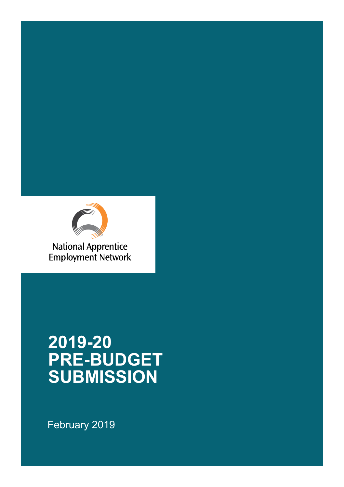

**National Apprentice Employment Network** 

# **2019-20 PRE-BUDGET SUBMISSION**

February 2019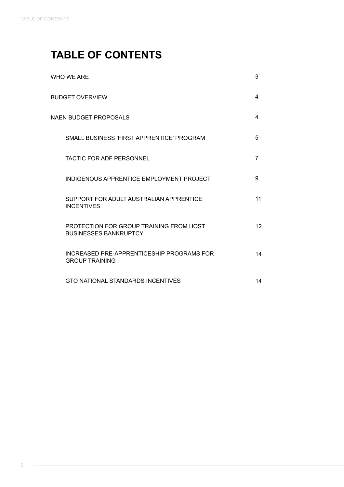## **TABLE OF CONTENTS**

| WHO WE ARE                                                              | 3               |
|-------------------------------------------------------------------------|-----------------|
| <b>BUDGET OVERVIEW</b>                                                  | 4               |
| NAEN BUDGET PROPOSALS                                                   | 4               |
| SMALL BUSINESS 'FIRST APPRENTICE' PROGRAM                               | 5               |
| <b>TACTIC FOR ADF PERSONNEL</b>                                         | 7               |
| INDIGENOUS APPRENTICE EMPLOYMENT PROJECT                                | 9               |
| SUPPORT FOR ADULT AUSTRALIAN APPRENTICE<br><b>INCENTIVES</b>            | 11              |
| PROTECTION FOR GROUP TRAINING FROM HOST<br><b>BUSINESSES BANKRUPTCY</b> | 12 <sup>2</sup> |
| INCREASED PRE-APPRENTICESHIP PROGRAMS FOR<br><b>GROUP TRAINING</b>      | 14              |
| GTO NATIONAL STANDARDS INCENTIVES                                       | 14              |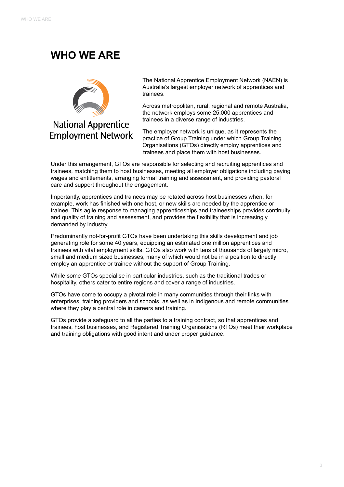### **WHO WE ARE**



**National Apprentice Employment Network** 

The National Apprentice Employment Network (NAEN) is Australia's largest employer network of apprentices and trainees.

Across metropolitan, rural, regional and remote Australia, the network employs some 25,000 apprentices and trainees in a diverse range of industries.

The employer network is unique, as it represents the practice of Group Training under which Group Training Organisations (GTOs) directly employ apprentices and trainees and place them with host businesses.

Under this arrangement, GTOs are responsible for selecting and recruiting apprentices and trainees, matching them to host businesses, meeting all employer obligations including paying wages and entitlements, arranging formal training and assessment, and providing pastoral care and support throughout the engagement.

Importantly, apprentices and trainees may be rotated across host businesses when, for example, work has finished with one host, or new skills are needed by the apprentice or trainee. This agile response to managing apprenticeships and traineeships provides continuity and quality of training and assessment, and provides the flexibility that is increasingly demanded by industry.

Predominantly not-for-profit GTOs have been undertaking this skills development and job generating role for some 40 years, equipping an estimated one million apprentices and trainees with vital employment skills. GTOs also work with tens of thousands of largely micro, small and medium sized businesses, many of which would not be in a position to directly employ an apprentice or trainee without the support of Group Training.

While some GTOs specialise in particular industries, such as the traditional trades or hospitality, others cater to entire regions and cover a range of industries.

GTOs have come to occupy a pivotal role in many communities through their links with enterprises, training providers and schools, as well as in Indigenous and remote communities where they play a central role in careers and training.

GTOs provide a safeguard to all the parties to a training contract, so that apprentices and trainees, host businesses, and Registered Training Organisations (RTOs) meet their workplace and training obligations with good intent and under proper guidance.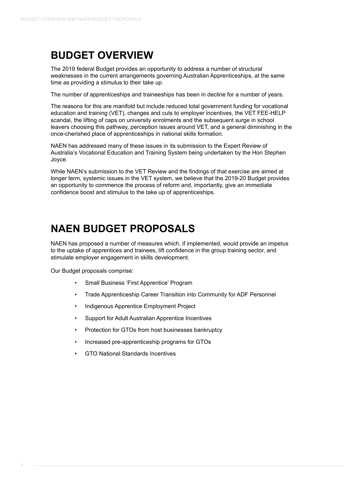### **BUDGET OVERVIEW**

The 2019 federal Budget provides an opportunity to address a number of structural weaknesses in the current arrangements governing Australian Apprenticeships, at the same time as providing a stimulus to their take up.

The number of apprenticeships and traineeships has been in decline for a number of years.

The reasons for this are manifold but include reduced total government funding for vocational education and training (VET), changes and cuts to employer incentives, the VET FEE-HELP scandal, the lifting of caps on university enrolments and the subsequent surge in school leavers choosing this pathway, perception issues around VET, and a general diminishing in the once-cherished place of apprenticeships in national skills formation.

NAEN has addressed many of these issues in its submission to the Expert Review of Australia's Vocational Education and Training System being undertaken by the Hon Stephen Joyce.

While NAEN's submission to the VET Review and the findings of that exercise are aimed at longer term, systemic issues in the VET system, we believe that the 2019-20 Budget provides an opportunity to commence the process of reform and, importantly, give an immediate confidence boost and stimulus to the take up of apprenticeships.

#### **NAEN BUDGET PROPOSALS**

NAEN has proposed a number of measures which, if implemented, would provide an impetus to the uptake of apprentices and trainees, lift confidence in the group training sector, and stimulate employer engagement in skills development.

Our Budget proposals comprise:

- Small Business 'First Apprentice' Program
- Trade Apprenticeship Career Transition into Community for ADF Personnel
- Indigenous Apprentice Employment Project
- Support for Adult Australian Apprentice Incentives
- Protection for GTOs from host businesses bankruptcy
- Increased pre-apprenticeship programs for GTOs
- GTO National Standards Incentives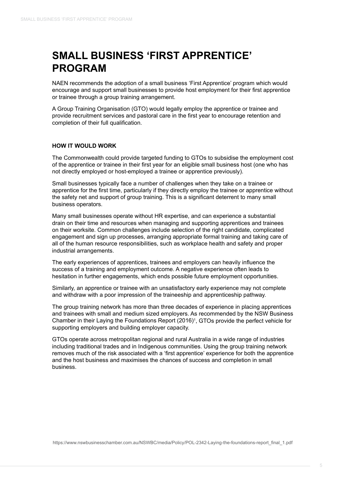### **SMALL BUSINESS 'FIRST APPRENTICE' PROGRAM**

NAEN recommends the adoption of a small business 'First Apprentice' program which would encourage and support small businesses to provide host employment for their first apprentice or trainee through a group training arrangement.

A Group Training Organisation (GTO) would legally employ the apprentice or trainee and provide recruitment services and pastoral care in the first year to encourage retention and completion of their full qualification.

#### **HOW IT WOULD WORK**

The Commonwealth could provide targeted funding to GTOs to subsidise the employment cost of the apprentice or trainee in their first year for an eligible small business host (one who has not directly employed or host-employed a trainee or apprentice previously).

Small businesses typically face a number of challenges when they take on a trainee or apprentice for the first time, particularly if they directly employ the trainee or apprentice without the safety net and support of group training. This is a significant deterrent to many small business operators.

Many small businesses operate without HR expertise, and can experience a substantial drain on their time and resources when managing and supporting apprentices and trainees on their worksite. Common challenges include selection of the right candidate, complicated engagement and sign up processes, arranging appropriate formal training and taking care of all of the human resource responsibilities, such as workplace health and safety and proper industrial arrangements.

The early experiences of apprentices, trainees and employers can heavily influence the success of a training and employment outcome. A negative experience often leads to hesitation in further engagements, which ends possible future employment opportunities.

Similarly, an apprentice or trainee with an unsatisfactory early experience may not complete and withdraw with a poor impression of the traineeship and apprenticeship pathway.

The group training network has more than three decades of experience in placing apprentices and trainees with small and medium sized employers. As recommended by the NSW Business Chamber in their Laying the Foundations Report (2016)1 , GTOs provide the perfect vehicle for supporting employers and building employer capacity.

GTOs operate across metropolitan regional and rural Australia in a wide range of industries including traditional trades and in Indigenous communities. Using the group training network removes much of the risk associated with a 'first apprentice' experience for both the apprentice and the host business and maximises the chances of success and completion in small business.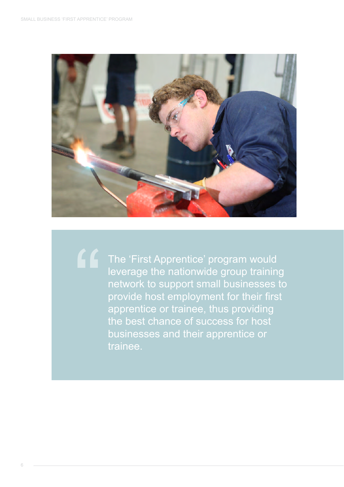

"

The 'First Apprentice' program would leverage the nationwide group training network to support small businesses to provide host employment for their first apprentice or trainee, thus providing the best chance of success for host businesses and their apprentice or trainee.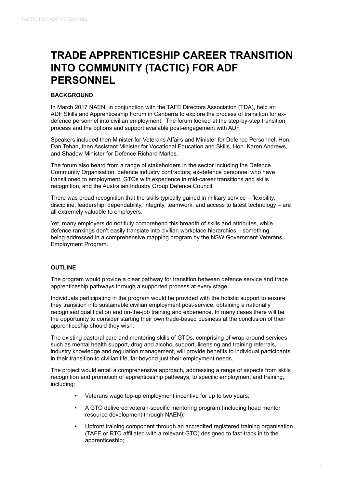### **TRADE APPRENTICESHIP CAREER TRANSITION INTO COMMUNITY (TACTIC) FOR ADF PERSONNEL**

#### **BACKGROUND**

In March 2017 NAEN, in conjunction with the TAFE Directors Association (TDA), held an ADF Skills and Apprenticeship Forum in Canberra to explore the process of transition for exdefence personnel into civilian employment. The forum looked at the step-by-step transition process and the options and support available post-engagement with ADF.

Speakers included then Minister for Veterans Affairs and Minister for Defence Personnel, Hon. Dan Tehan, then Assistant Minister for Vocational Education and Skills, Hon. Karen Andrews, and Shadow Minister for Defence Richard Marles.

The forum also heard from a range of stakeholders in the sector including the Defence Community Organisation; defence industry contractors; ex-defence personnel who have transitioned to employment, GTOs with experience in mid-career transitions and skills recognition, and the Australian Industry Group Defence Council.

There was broad recognition that the skills typically gained in military service – flexibility, discipline, leadership, dependability, integrity, teamwork, and access to latest technology – are all extremely valuable to employers.

Yet, many employers do not fully comprehend this breadth of skills and attributes, while defence rankings don't easily translate into civilian workplace hierarchies – something being addressed in a comprehensive mapping program by the NSW Government Veterans Employment Program.

#### **OUTLINE**

The program would provide a clear pathway for transition between defence service and trade apprenticeship pathways through a supported process at every stage.

Individuals participating in the program would be provided with the holistic support to ensure they transition into sustainable civilian employment post-service, obtaining a nationally recognised qualification and on-the-job training and experience. In many cases there will be the opportunity to consider starting their own trade-based business at the conclusion of their apprenticeship should they wish.

The existing pastoral care and mentoring skills of GTOs, comprising of wrap-around services such as mental health support, drug and alcohol support, licensing and training referrals, industry knowledge and regulation management, will provide benefits to individual participants in their transition to civilian life, far beyond just their employment needs.

The project would entail a comprehensive approach, addressing a range of aspects from skills recognition and promotion of apprenticeship pathways, to specific employment and training, including:

- Veterans wage top-up employment incentive for up to two years;
- A GTO delivered veteran-specific mentoring program (including head mentor resource development through NAEN);
- Upfront training component through an accredited registered training organisation (TAFE or RTO affiliated with a relevant GTO) designed to fast-track in to the apprenticeship;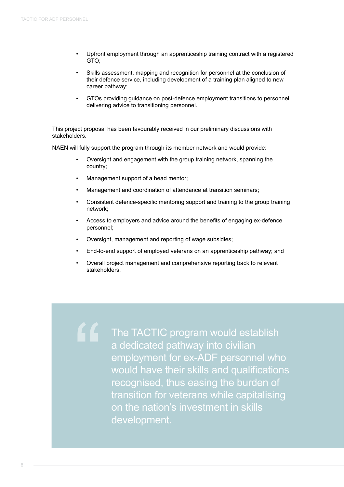- Upfront employment through an apprenticeship training contract with a registered GTO;
- Skills assessment, mapping and recognition for personnel at the conclusion of their defence service, including development of a training plan aligned to new career pathway;
- GTOs providing guidance on post-defence employment transitions to personnel delivering advice to transitioning personnel.

This project proposal has been favourably received in our preliminary discussions with stakeholders.

NAEN will fully support the program through its member network and would provide:

- Oversight and engagement with the group training network, spanning the country;
- Management support of a head mentor;

"

- Management and coordination of attendance at transition seminars;
- Consistent defence-specific mentoring support and training to the group training network;
- Access to employers and advice around the benefits of engaging ex-defence personnel;
- Oversight, management and reporting of wage subsidies;
- End-to-end support of employed veterans on an apprenticeship pathway; and
- Overall project management and comprehensive reporting back to relevant stakeholders.

The TACTIC program would establish a dedicated pathway into civilian employment for ex-ADF personnel who would have their skills and qualifications recognised, thus easing the burden of transition for veterans while capitalising on the nation's investment in skills development.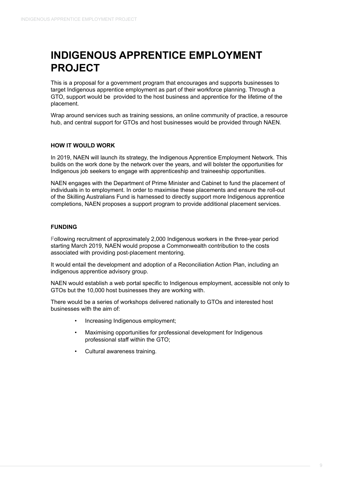### **INDIGENOUS APPRENTICE EMPLOYMENT PROJECT**

This is a proposal for a government program that encourages and supports businesses to target Indigenous apprentice employment as part of their workforce planning. Through a GTO, support would be provided to the host business and apprentice for the lifetime of the placement.

Wrap around services such as training sessions, an online community of practice, a resource hub, and central support for GTOs and host businesses would be provided through NAEN.

#### **HOW IT WOULD WORK**

In 2019, NAEN will launch its strategy, the Indigenous Apprentice Employment Network. This builds on the work done by the network over the years, and will bolster the opportunities for Indigenous job seekers to engage with apprenticeship and traineeship opportunities.

NAEN engages with the Department of Prime Minister and Cabinet to fund the placement of individuals in to employment. In order to maximise these placements and ensure the roll-out of the Skilling Australians Fund is harnessed to directly support more Indigenous apprentice completions, NAEN proposes a support program to provide additional placement services.

#### **FUNDING**

Following recruitment of approximately 2,000 Indigenous workers in the three-year period starting March 2019, NAEN would propose a Commonwealth contribution to the costs associated with providing post-placement mentoring.

It would entail the development and adoption of a Reconciliation Action Plan, including an indigenous apprentice advisory group.

NAEN would establish a web portal specific to Indigenous employment, accessible not only to GTOs but the 10,000 host businesses they are working with.

There would be a series of workshops delivered nationally to GTOs and interested host businesses with the aim of:

- Increasing Indigenous employment;
- Maximising opportunities for professional development for Indigenous professional staff within the GTO;
- Cultural awareness training.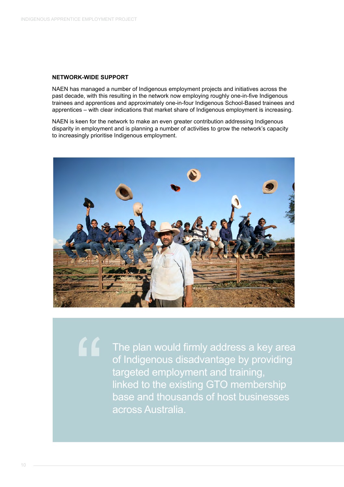#### **NETWORK-WIDE SUPPORT**

NAEN has managed a number of Indigenous employment projects and initiatives across the past decade, with this resulting in the network now employing roughly one-in-five Indigenous trainees and apprentices and approximately one-in-four Indigenous School-Based trainees and apprentices – with clear indications that market share of Indigenous employment is increasing.

NAEN is keen for the network to make an even greater contribution addressing Indigenous disparity in employment and is planning a number of activities to grow the network's capacity to increasingly prioritise Indigenous employment.



"

The plan would firmly address a key area of Indigenous disadvantage by providing targeted employment and training, linked to the existing GTO membership base and thousands of host businesses across Australia.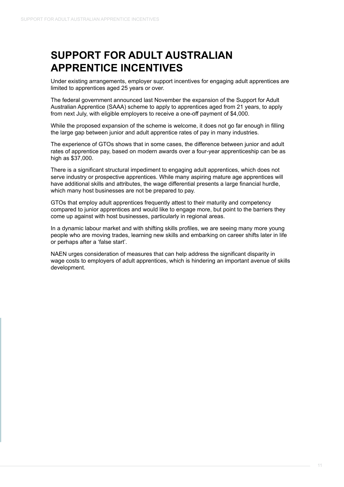### **SUPPORT FOR ADULT AUSTRALIAN APPRENTICE INCENTIVES**

Under existing arrangements, employer support incentives for engaging adult apprentices are limited to apprentices aged 25 years or over.

The federal government announced last November the expansion of the Support for Adult Australian Apprentice (SAAA) scheme to apply to apprentices aged from 21 years, to apply from next July, with eligible employers to receive a one-off payment of \$4,000.

While the proposed expansion of the scheme is welcome, it does not go far enough in filling the large gap between junior and adult apprentice rates of pay in many industries.

The experience of GTOs shows that in some cases, the difference between junior and adult rates of apprentice pay, based on modern awards over a four-year apprenticeship can be as high as \$37,000.

There is a significant structural impediment to engaging adult apprentices, which does not serve industry or prospective apprentices. While many aspiring mature age apprentices will have additional skills and attributes, the wage differential presents a large financial hurdle, which many host businesses are not be prepared to pay.

GTOs that employ adult apprentices frequently attest to their maturity and competency compared to junior apprentices and would like to engage more, but point to the barriers they come up against with host businesses, particularly in regional areas.

In a dynamic labour market and with shifting skills profiles, we are seeing many more young people who are moving trades, learning new skills and embarking on career shifts later in life or perhaps after a 'false start'.

NAEN urges consideration of measures that can help address the significant disparity in wage costs to employers of adult apprentices, which is hindering an important avenue of skills development.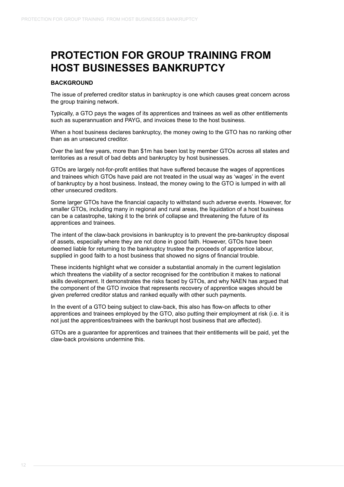### **PROTECTION FOR GROUP TRAINING FROM HOST BUSINESSES BANKRUPTCY**

#### **BACKGROUND**

The issue of preferred creditor status in bankruptcy is one which causes great concern across the group training network.

Typically, a GTO pays the wages of its apprentices and trainees as well as other entitlements such as superannuation and PAYG, and invoices these to the host business.

When a host business declares bankruptcy, the money owing to the GTO has no ranking other than as an unsecured creditor.

Over the last few years, more than \$1m has been lost by member GTOs across all states and territories as a result of bad debts and bankruptcy by host businesses.

GTOs are largely not-for-profit entities that have suffered because the wages of apprentices and trainees which GTOs have paid are not treated in the usual way as 'wages' in the event of bankruptcy by a host business. Instead, the money owing to the GTO is lumped in with all other unsecured creditors.

Some larger GTOs have the financial capacity to withstand such adverse events. However, for smaller GTOs, including many in regional and rural areas, the liquidation of a host business can be a catastrophe, taking it to the brink of collapse and threatening the future of its apprentices and trainees.

The intent of the claw-back provisions in bankruptcy is to prevent the pre-bankruptcy disposal of assets, especially where they are not done in good faith. However, GTOs have been deemed liable for returning to the bankruptcy trustee the proceeds of apprentice labour, supplied in good faith to a host business that showed no signs of financial trouble.

These incidents highlight what we consider a substantial anomaly in the current legislation which threatens the viability of a sector recognised for the contribution it makes to national skills development. It demonstrates the risks faced by GTOs, and why NAEN has argued that the component of the GTO invoice that represents recovery of apprentice wages should be given preferred creditor status and ranked equally with other such payments.

In the event of a GTO being subject to claw-back, this also has flow-on affects to other apprentices and trainees employed by the GTO, also putting their employment at risk (i.e. it is not just the apprentices/trainees with the bankrupt host business that are affected).

GTOs are a guarantee for apprentices and trainees that their entitlements will be paid, yet the claw-back provisions undermine this.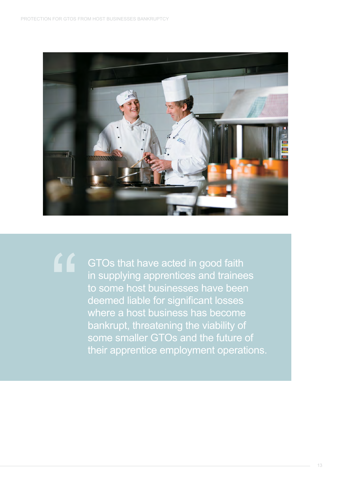

GTOs that have acted in good faith in supplying apprentices and trainees to some host businesses have been deemed liable for significant losses where a host business has become bankrupt, threatening the viability of some smaller GTOs and the future of their apprentice employment operations. "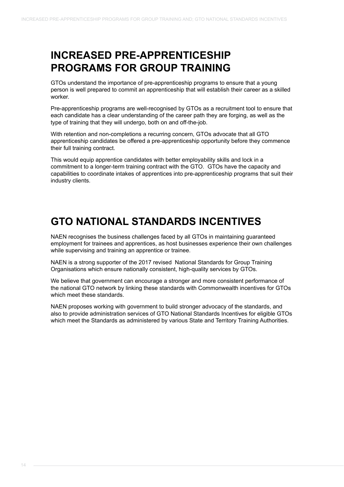#### **INCREASED PRE-APPRENTICESHIP PROGRAMS FOR GROUP TRAINING**

GTOs understand the importance of pre-apprenticeship programs to ensure that a young person is well prepared to commit an apprenticeship that will establish their career as a skilled worker.

Pre-apprenticeship programs are well-recognised by GTOs as a recruitment tool to ensure that each candidate has a clear understanding of the career path they are forging, as well as the type of training that they will undergo, both on and off-the-job.

With retention and non-completions a recurring concern, GTOs advocate that all GTO apprenticeship candidates be offered a pre-apprenticeship opportunity before they commence their full training contract.

This would equip apprentice candidates with better employability skills and lock in a commitment to a longer-term training contract with the GTO. GTOs have the capacity and capabilities to coordinate intakes of apprentices into pre-apprenticeship programs that suit their industry clients.

### **GTO NATIONAL STANDARDS INCENTIVES**

NAEN recognises the business challenges faced by all GTOs in maintaining guaranteed employment for trainees and apprentices, as host businesses experience their own challenges while supervising and training an apprentice or trainee.

NAEN is a strong supporter of the 2017 revised National Standards for Group Training Organisations which ensure nationally consistent, high-quality services by GTOs.

We believe that government can encourage a stronger and more consistent performance of the national GTO network by linking these standards with Commonwealth incentives for GTOs which meet these standards.

NAEN proposes working with government to build stronger advocacy of the standards, and also to provide administration services of GTO National Standards Incentives for eligible GTOs which meet the Standards as administered by various State and Territory Training Authorities.